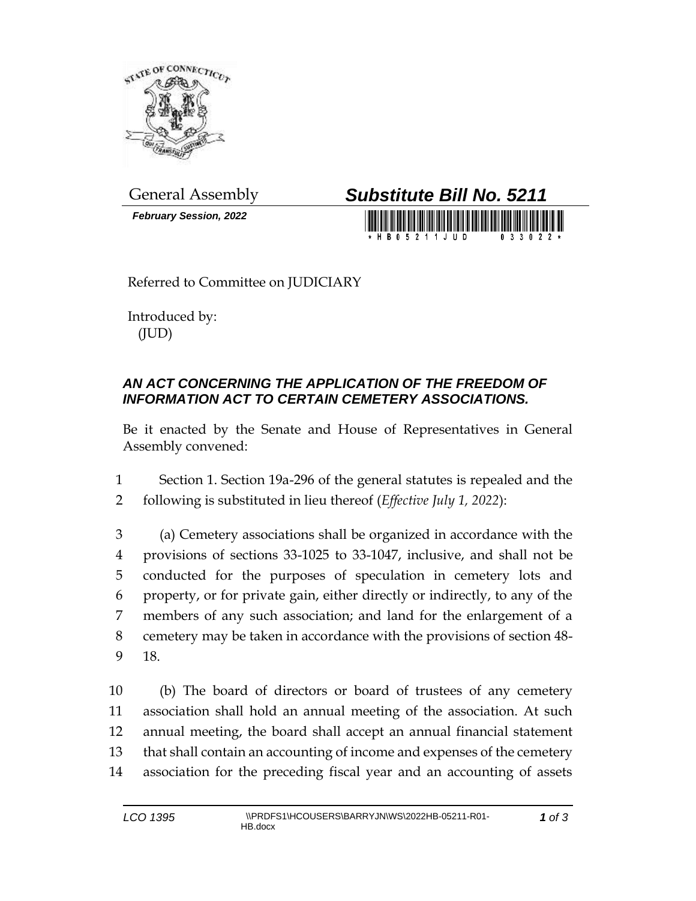

*February Session, 2022*

## General Assembly *Substitute Bill No. 5211*

Referred to Committee on JUDICIARY

Introduced by: (JUD)

## *AN ACT CONCERNING THE APPLICATION OF THE FREEDOM OF INFORMATION ACT TO CERTAIN CEMETERY ASSOCIATIONS.*

Be it enacted by the Senate and House of Representatives in General Assembly convened:

1 Section 1. Section 19a-296 of the general statutes is repealed and the 2 following is substituted in lieu thereof (*Effective July 1, 2022*):

 (a) Cemetery associations shall be organized in accordance with the provisions of sections 33-1025 to 33-1047, inclusive, and shall not be conducted for the purposes of speculation in cemetery lots and property, or for private gain, either directly or indirectly, to any of the members of any such association; and land for the enlargement of a cemetery may be taken in accordance with the provisions of section 48- 9 18.

 (b) The board of directors or board of trustees of any cemetery association shall hold an annual meeting of the association. At such annual meeting, the board shall accept an annual financial statement that shall contain an accounting of income and expenses of the cemetery association for the preceding fiscal year and an accounting of assets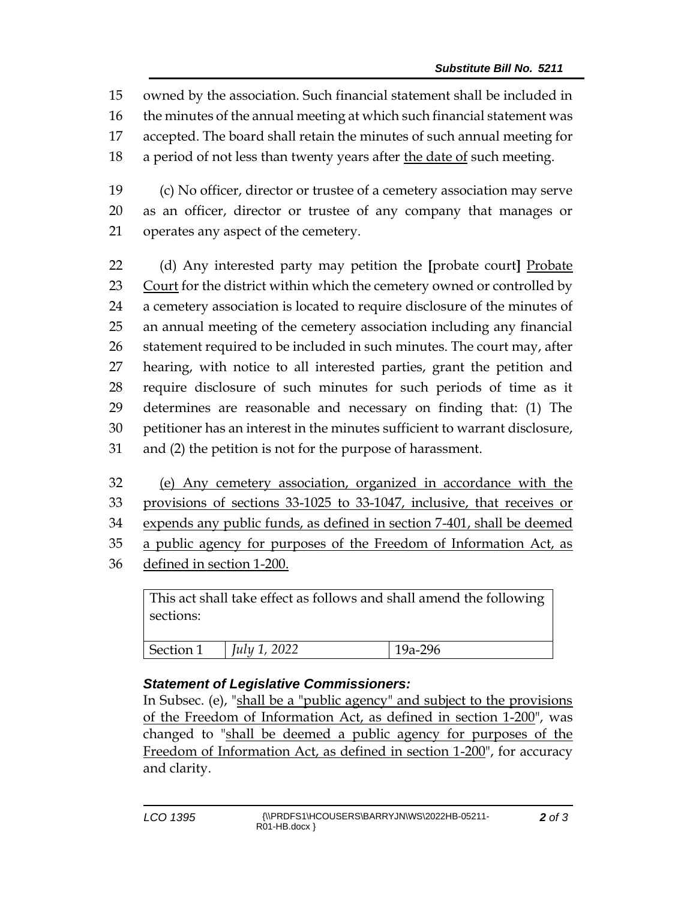owned by the association. Such financial statement shall be included in the minutes of the annual meeting at which such financial statement was accepted. The board shall retain the minutes of such annual meeting for a period of not less than twenty years after the date of such meeting.

19 (c) No officer, director or trustee of a cemetery association may serve 20 as an officer, director or trustee of any company that manages or 21 operates any aspect of the cemetery.

 (d) Any interested party may petition the **[**probate court**]** Probate 23 Court for the district within which the cemetery owned or controlled by a cemetery association is located to require disclosure of the minutes of an annual meeting of the cemetery association including any financial 26 statement required to be included in such minutes. The court may, after hearing, with notice to all interested parties, grant the petition and require disclosure of such minutes for such periods of time as it determines are reasonable and necessary on finding that: (1) The petitioner has an interest in the minutes sufficient to warrant disclosure, and (2) the petition is not for the purpose of harassment.

 (e) Any cemetery association, organized in accordance with the provisions of sections 33-1025 to 33-1047, inclusive, that receives or expends any public funds, as defined in section 7-401, shall be deemed 35 a public agency for purposes of the Freedom of Information Act, as

36 defined in section 1-200.

This act shall take effect as follows and shall amend the following sections:

| <b>Section</b> 1 | ററാ<br>July 1<br>ULL | 296 |
|------------------|----------------------|-----|

## *Statement of Legislative Commissioners:*

In Subsec. (e), "shall be a "public agency" and subject to the provisions of the Freedom of Information Act, as defined in section 1-200", was changed to "shall be deemed a public agency for purposes of the Freedom of Information Act, as defined in section 1-200", for accuracy and clarity.